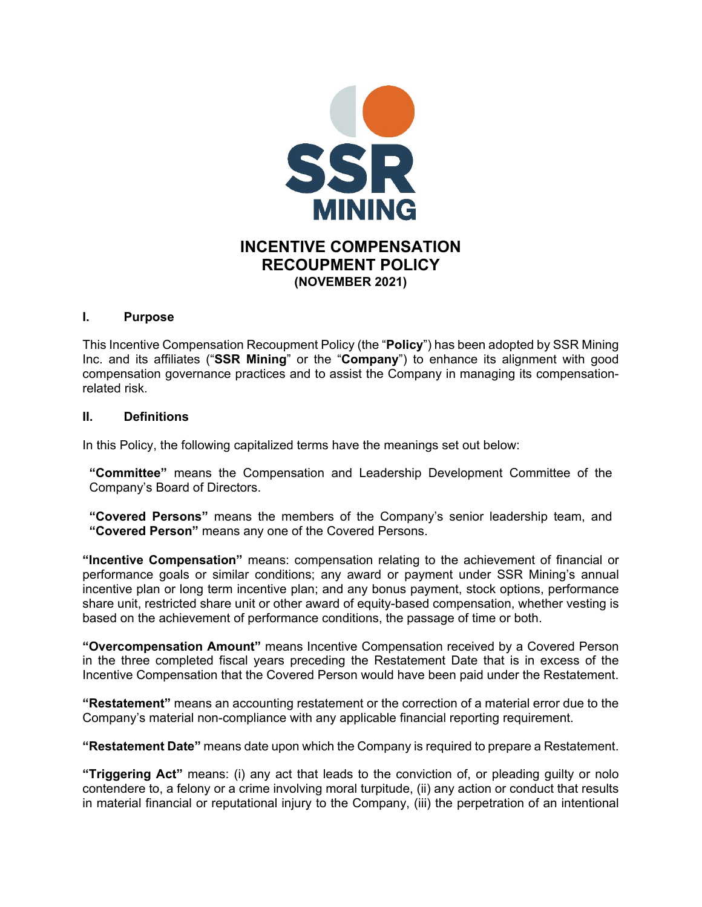

# **INCENTIVE COMPENSATION RECOUPMENT POLICY (NOVEMBER 2021)**

#### **I. Purpose**

This Incentive Compensation Recoupment Policy (the "**Policy**") has been adopted by SSR Mining Inc. and its affiliates ("**SSR Mining**" or the "**Company**") to enhance its alignment with good compensation governance practices and to assist the Company in managing its compensationrelated risk.

#### **II. Definitions**

In this Policy, the following capitalized terms have the meanings set out below:

**"Committee"** means the Compensation and Leadership Development Committee of the Company's Board of Directors.

**"Covered Persons"** means the members of the Company's senior leadership team, and **"Covered Person"** means any one of the Covered Persons.

**"Incentive Compensation"** means: compensation relating to the achievement of financial or performance goals or similar conditions; any award or payment under SSR Mining's annual incentive plan or long term incentive plan; and any bonus payment, stock options, performance share unit, restricted share unit or other award of equity-based compensation, whether vesting is based on the achievement of performance conditions, the passage of time or both.

**"Overcompensation Amount"** means Incentive Compensation received by a Covered Person in the three completed fiscal years preceding the Restatement Date that is in excess of the Incentive Compensation that the Covered Person would have been paid under the Restatement.

**"Restatement"** means an accounting restatement or the correction of a material error due to the Company's material non-compliance with any applicable financial reporting requirement.

**"Restatement Date"** means date upon which the Company is required to prepare a Restatement.

**"Triggering Act"** means: (i) any act that leads to the conviction of, or pleading guilty or nolo contendere to, a felony or a crime involving moral turpitude, (ii) any action or conduct that results in material financial or reputational injury to the Company, (iii) the perpetration of an intentional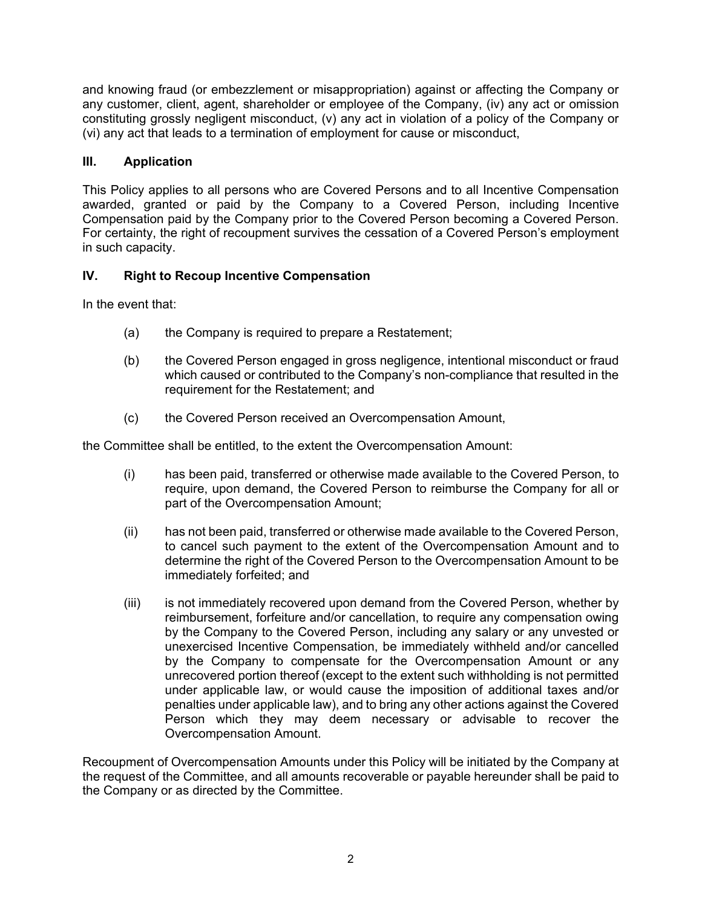and knowing fraud (or embezzlement or misappropriation) against or affecting the Company or any customer, client, agent, shareholder or employee of the Company, (iv) any act or omission constituting grossly negligent misconduct, (v) any act in violation of a policy of the Company or (vi) any act that leads to a termination of employment for cause or misconduct,

### **III. Application**

This Policy applies to all persons who are Covered Persons and to all Incentive Compensation awarded, granted or paid by the Company to a Covered Person, including Incentive Compensation paid by the Company prior to the Covered Person becoming a Covered Person. For certainty, the right of recoupment survives the cessation of a Covered Person's employment in such capacity.

## **IV. Right to Recoup Incentive Compensation**

In the event that:

- (a) the Company is required to prepare a Restatement;
- (b) the Covered Person engaged in gross negligence, intentional misconduct or fraud which caused or contributed to the Company's non-compliance that resulted in the requirement for the Restatement; and
- (c) the Covered Person received an Overcompensation Amount,

the Committee shall be entitled, to the extent the Overcompensation Amount:

- (i) has been paid, transferred or otherwise made available to the Covered Person, to require, upon demand, the Covered Person to reimburse the Company for all or part of the Overcompensation Amount;
- (ii) has not been paid, transferred or otherwise made available to the Covered Person, to cancel such payment to the extent of the Overcompensation Amount and to determine the right of the Covered Person to the Overcompensation Amount to be immediately forfeited; and
- (iii) is not immediately recovered upon demand from the Covered Person, whether by reimbursement, forfeiture and/or cancellation, to require any compensation owing by the Company to the Covered Person, including any salary or any unvested or unexercised Incentive Compensation, be immediately withheld and/or cancelled by the Company to compensate for the Overcompensation Amount or any unrecovered portion thereof (except to the extent such withholding is not permitted under applicable law, or would cause the imposition of additional taxes and/or penalties under applicable law), and to bring any other actions against the Covered Person which they may deem necessary or advisable to recover the Overcompensation Amount.

Recoupment of Overcompensation Amounts under this Policy will be initiated by the Company at the request of the Committee, and all amounts recoverable or payable hereunder shall be paid to the Company or as directed by the Committee.